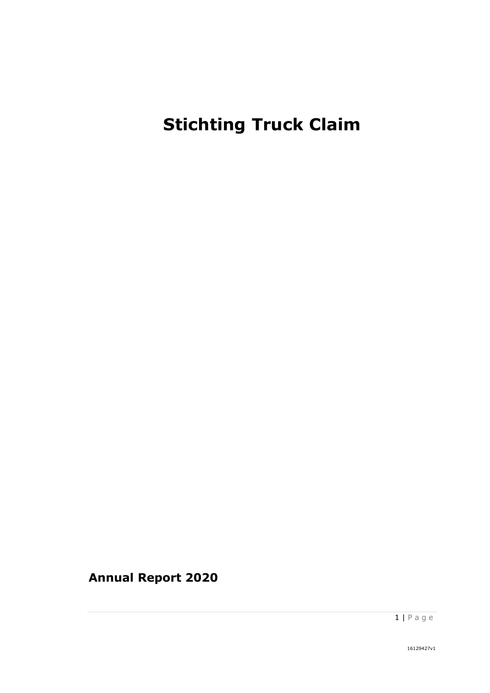# **Stichting Truck Claim**

**Annual Report 2020**

 $1 | P \text{age}$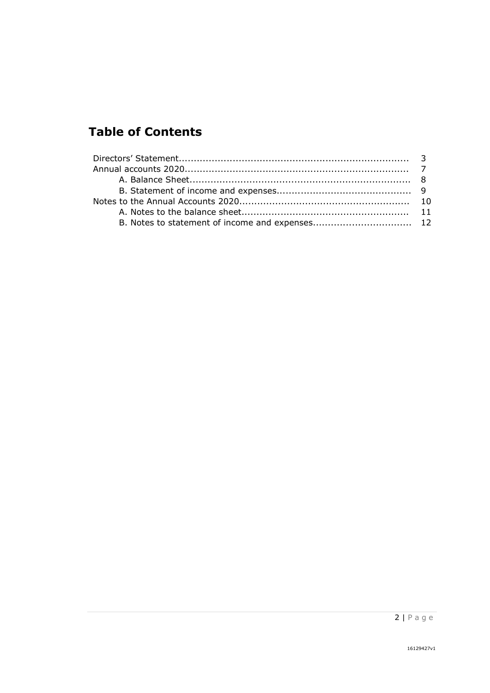# **Table of Contents**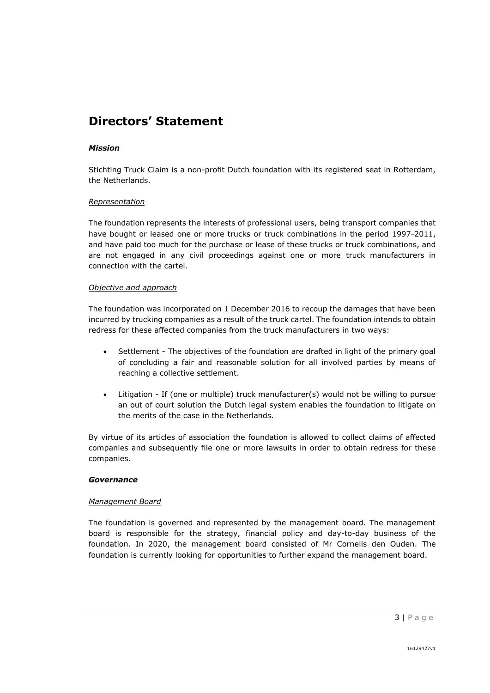## **Directors' Statement**

#### *Mission*

Stichting Truck Claim is a non-profit Dutch foundation with its registered seat in Rotterdam, the Netherlands.

#### *Representation*

The foundation represents the interests of professional users, being transport companies that have bought or leased one or more trucks or truck combinations in the period 1997-2011, and have paid too much for the purchase or lease of these trucks or truck combinations, and are not engaged in any civil proceedings against one or more truck manufacturers in connection with the cartel.

#### *Objective and approach*

The foundation was incorporated on 1 December 2016 to recoup the damages that have been incurred by trucking companies as a result of the truck cartel. The foundation intends to obtain redress for these affected companies from the truck manufacturers in two ways:

- Settlement The objectives of the foundation are drafted in light of the primary goal of concluding a fair and reasonable solution for all involved parties by means of reaching a collective settlement.
- Litigation If (one or multiple) truck manufacturer(s) would not be willing to pursue an out of court solution the Dutch legal system enables the foundation to litigate on the merits of the case in the Netherlands.

By virtue of its articles of association the foundation is allowed to collect claims of affected companies and subsequently file one or more lawsuits in order to obtain redress for these companies.

#### *Governance*

#### *Management Board*

The foundation is governed and represented by the management board. The management board is responsible for the strategy, financial policy and day-to-day business of the foundation. In 2020, the management board consisted of Mr Cornelis den Ouden. The foundation is currently looking for opportunities to further expand the management board.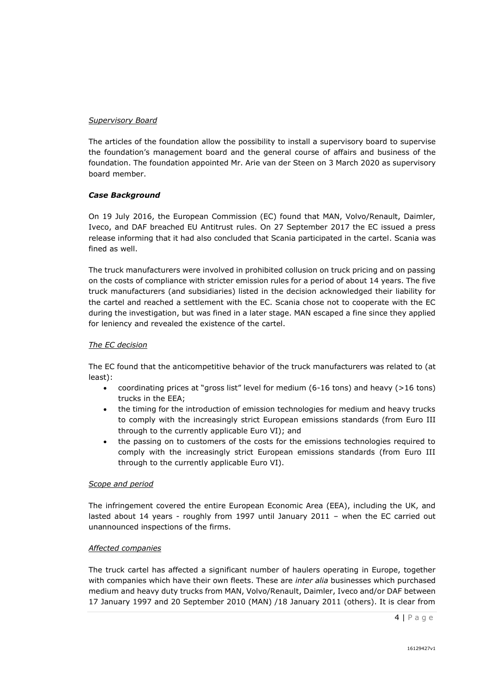#### *Supervisory Board*

The articles of the foundation allow the possibility to install a supervisory board to supervise the foundation's management board and the general course of affairs and business of the foundation. The foundation appointed Mr. Arie van der Steen on 3 March 2020 as supervisory board member.

#### *Case Background*

On 19 July 2016, the European Commission (EC) found that MAN, Volvo/Renault, Daimler, Iveco, and DAF breached EU Antitrust rules. On 27 September 2017 the EC issued a press release informing that it had also concluded that Scania participated in the cartel. Scania was fined as well.

The truck manufacturers were involved in prohibited collusion on truck pricing and on passing on the costs of compliance with stricter emission rules for a period of about 14 years. The five truck manufacturers (and subsidiaries) listed in the decision acknowledged their liability for the cartel and reached a settlement with the EC. Scania chose not to cooperate with the EC during the investigation, but was fined in a later stage. MAN escaped a fine since they applied for leniency and revealed the existence of the cartel.

#### *The EC decision*

The EC found that the anticompetitive behavior of the truck manufacturers was related to (at least):

- coordinating prices at "gross list" level for medium (6-16 tons) and heavy (>16 tons) trucks in the EEA;
- the timing for the introduction of emission technologies for medium and heavy trucks to comply with the increasingly strict European emissions standards (from Euro III through to the currently applicable Euro VI); and
- the passing on to customers of the costs for the emissions technologies required to comply with the increasingly strict European emissions standards (from Euro III through to the currently applicable Euro VI).

#### *Scope and period*

The infringement covered the entire European Economic Area (EEA), including the UK, and lasted about 14 years - roughly from 1997 until January 2011 – when the EC carried out unannounced inspections of the firms.

#### *Affected companies*

The truck cartel has affected a significant number of haulers operating in Europe, together with companies which have their own fleets. These are *inter alia* businesses which purchased medium and heavy duty trucks from MAN, Volvo/Renault, Daimler, Iveco and/or DAF between 17 January 1997 and 20 September 2010 (MAN) /18 January 2011 (others). It is clear from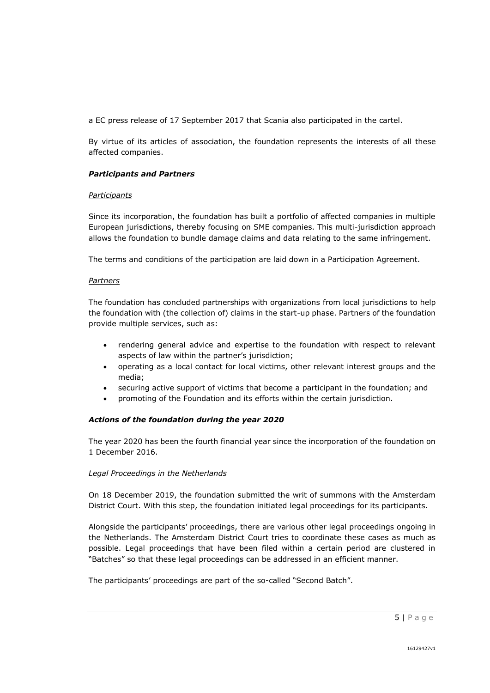a EC press release of 17 September 2017 that Scania also participated in the cartel.

By virtue of its articles of association, the foundation represents the interests of all these affected companies.

#### *Participants and Partners*

#### *Participants*

Since its incorporation, the foundation has built a portfolio of affected companies in multiple European jurisdictions, thereby focusing on SME companies. This multi-jurisdiction approach allows the foundation to bundle damage claims and data relating to the same infringement.

The terms and conditions of the participation are laid down in a Participation Agreement.

#### *Partners*

The foundation has concluded partnerships with organizations from local jurisdictions to help the foundation with (the collection of) claims in the start-up phase. Partners of the foundation provide multiple services, such as:

- rendering general advice and expertise to the foundation with respect to relevant aspects of law within the partner's jurisdiction;
- operating as a local contact for local victims, other relevant interest groups and the media;
- securing active support of victims that become a participant in the foundation; and
- promoting of the Foundation and its efforts within the certain jurisdiction.

#### *Actions of the foundation during the year 2020*

The year 2020 has been the fourth financial year since the incorporation of the foundation on 1 December 2016.

#### *Legal Proceedings in the Netherlands*

On 18 December 2019, the foundation submitted the writ of summons with the Amsterdam District Court. With this step, the foundation initiated legal proceedings for its participants.

Alongside the participants' proceedings, there are various other legal proceedings ongoing in the Netherlands. The Amsterdam District Court tries to coordinate these cases as much as possible. Legal proceedings that have been filed within a certain period are clustered in "Batches" so that these legal proceedings can be addressed in an efficient manner.

The participants' proceedings are part of the so-called "Second Batch".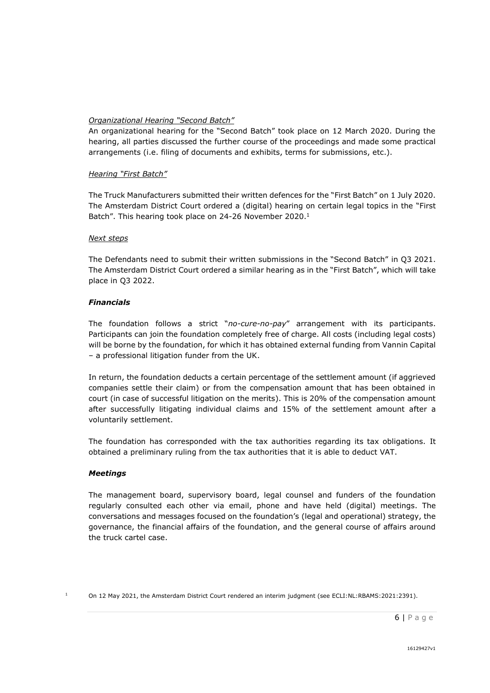#### *Organizational Hearing "Second Batch"*

An organizational hearing for the "Second Batch" took place on 12 March 2020. During the hearing, all parties discussed the further course of the proceedings and made some practical arrangements (i.e. filing of documents and exhibits, terms for submissions, etc.).

#### *Hearing "First Batch"*

The Truck Manufacturers submitted their written defences for the "First Batch" on 1 July 2020. The Amsterdam District Court ordered a (digital) hearing on certain legal topics in the "First Batch". This hearing took place on 24-26 November 2020.<sup>1</sup>

#### *Next steps*

The Defendants need to submit their written submissions in the "Second Batch" in Q3 2021. The Amsterdam District Court ordered a similar hearing as in the "First Batch", which will take place in Q3 2022.

#### *Financials*

The foundation follows a strict "*no-cure-no-pay*" arrangement with its participants. Participants can join the foundation completely free of charge. All costs (including legal costs) will be borne by the foundation, for which it has obtained external funding from Vannin Capital – a professional litigation funder from the UK.

In return, the foundation deducts a certain percentage of the settlement amount (if aggrieved companies settle their claim) or from the compensation amount that has been obtained in court (in case of successful litigation on the merits). This is 20% of the compensation amount after successfully litigating individual claims and 15% of the settlement amount after a voluntarily settlement.

The foundation has corresponded with the tax authorities regarding its tax obligations. It obtained a preliminary ruling from the tax authorities that it is able to deduct VAT.

#### *Meetings*

The management board, supervisory board, legal counsel and funders of the foundation regularly consulted each other via email, phone and have held (digital) meetings. The conversations and messages focused on the foundation's (legal and operational) strategy, the governance, the financial affairs of the foundation, and the general course of affairs around the truck cartel case.

<sup>1</sup> On 12 May 2021, the Amsterdam District Court rendered an interim judgment (see ECLI:NL:RBAMS:2021:2391).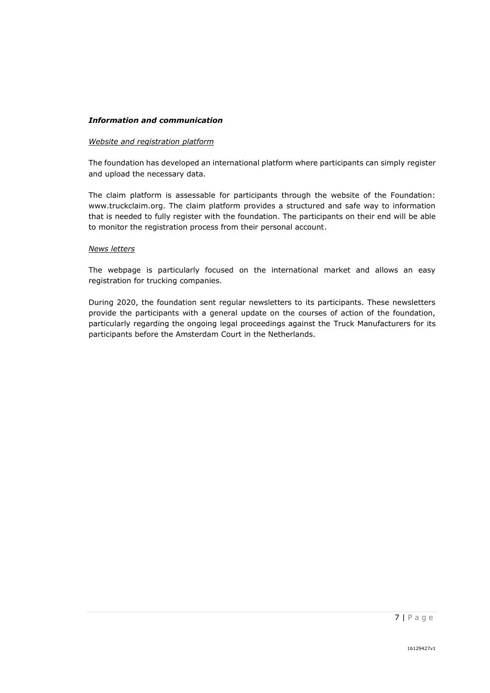#### *Information and communication*

#### *Website and registration platform*

The foundation has developed an international platform where participants can simply register and upload the necessary data.

The claim platform is assessable for participants through the website of the Foundation: www.truckclaim.org. The claim platform provides a structured and safe way to information that is needed to fully register with the foundation. The participants on their end will be able to monitor the registration process from their personal account.

#### *News letters*

The webpage is particularly focused on the international market and allows an easy registration for trucking companies.

During 2020, the foundation sent regular newsletters to its participants. These newsletters provide the participants with a general update on the courses of action of the foundation, particularly regarding the ongoing legal proceedings against the Truck Manufacturers for its participants before the Amsterdam Court in the Netherlands.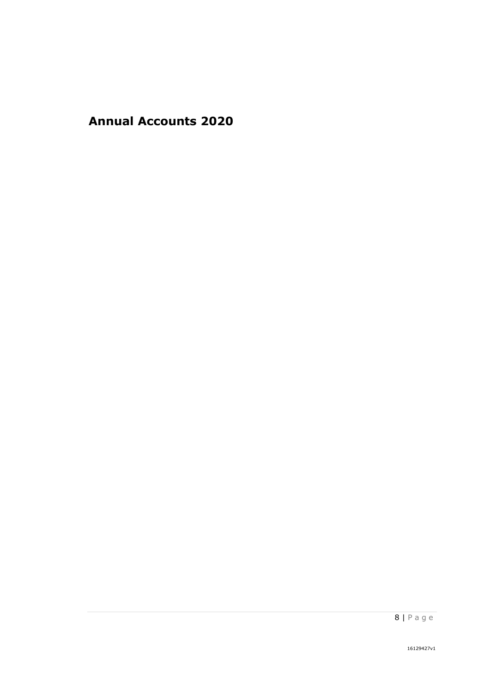**Annual Accounts 2020**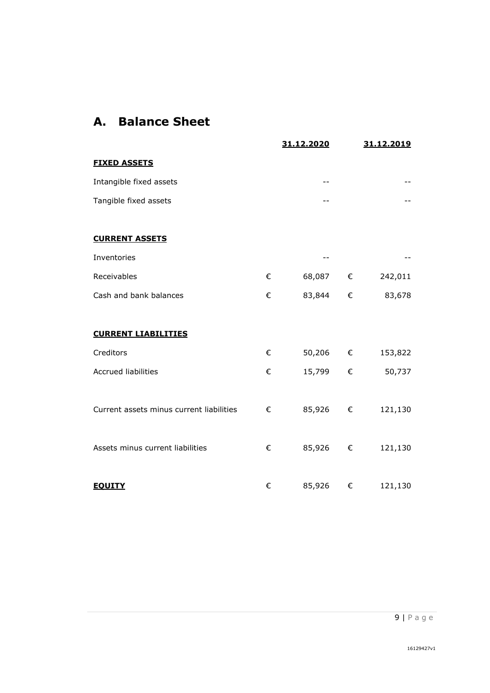# **A. Balance Sheet**

|                                          |   | 31.12.2020 |            | 31.12.2019 |
|------------------------------------------|---|------------|------------|------------|
| <b>FIXED ASSETS</b>                      |   |            |            |            |
| Intangible fixed assets                  |   | --         |            |            |
| Tangible fixed assets                    |   |            |            |            |
|                                          |   |            |            |            |
| <b>CURRENT ASSETS</b>                    |   |            |            |            |
| Inventories                              |   |            |            |            |
| Receivables                              | € | 68,087     | €          | 242,011    |
| Cash and bank balances                   | € | 83,844     | €          | 83,678     |
|                                          |   |            |            |            |
| <b>CURRENT LIABILITIES</b>               |   |            |            |            |
| Creditors                                | € | 50,206 €   |            | 153,822    |
| <b>Accrued liabilities</b>               | € | 15,799     | €          | 50,737     |
|                                          |   |            |            |            |
| Current assets minus current liabilities | € | 85,926     | €          | 121,130    |
|                                          |   |            |            |            |
| Assets minus current liabilities         | € | 85,926     | $\epsilon$ | 121,130    |
|                                          |   |            |            |            |
| <b>EQUITY</b>                            | € | 85,926     | €          | 121,130    |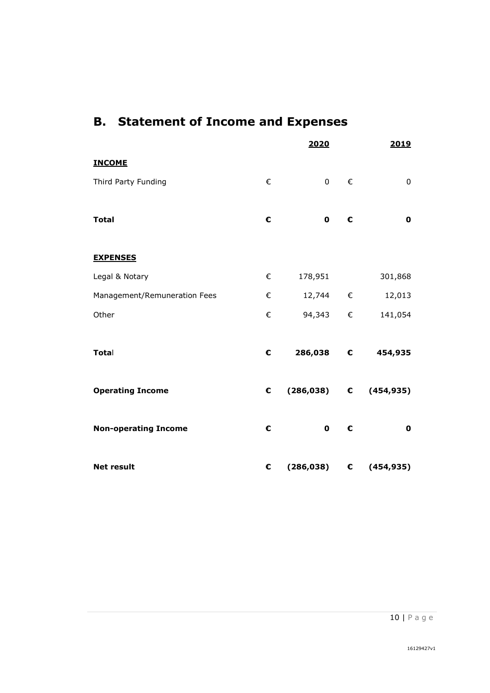# **B. Statement of Income and Expenses**

|                              |   | 2020           |   | 2019                             |
|------------------------------|---|----------------|---|----------------------------------|
| <b>INCOME</b>                |   |                |   |                                  |
| Third Party Funding          | € | $\overline{0}$ | € | $\pmb{0}$                        |
|                              |   |                |   |                                  |
| <b>Total</b>                 | € | $\mathbf 0$    | € | $\mathbf 0$                      |
|                              |   |                |   |                                  |
| <b>EXPENSES</b>              |   |                |   |                                  |
| Legal & Notary               | € | 178,951        |   | 301,868                          |
| Management/Remuneration Fees | € | $12,744$ €     |   | 12,013                           |
| Other                        | € | 94,343 €       |   | 141,054                          |
|                              |   |                |   |                                  |
| Total                        | € | 286,038 €      |   | 454,935                          |
|                              |   |                |   |                                  |
| <b>Operating Income</b>      | € |                |   | $(286,038)$ C $(454,935)$        |
|                              |   |                |   |                                  |
| <b>Non-operating Income</b>  | € | $\mathbf 0$    | € | $\mathbf 0$                      |
|                              |   |                |   |                                  |
| <b>Net result</b>            | € |                |   | $(286,038)$ $\qquad$ $(454,935)$ |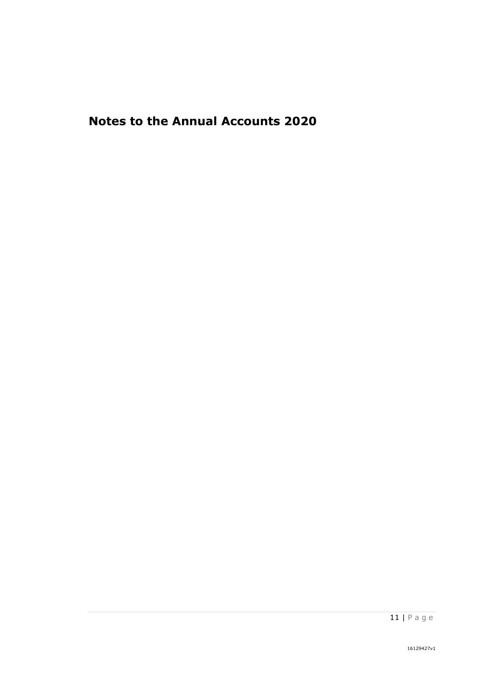# **Notes to the Annual Accounts 2020**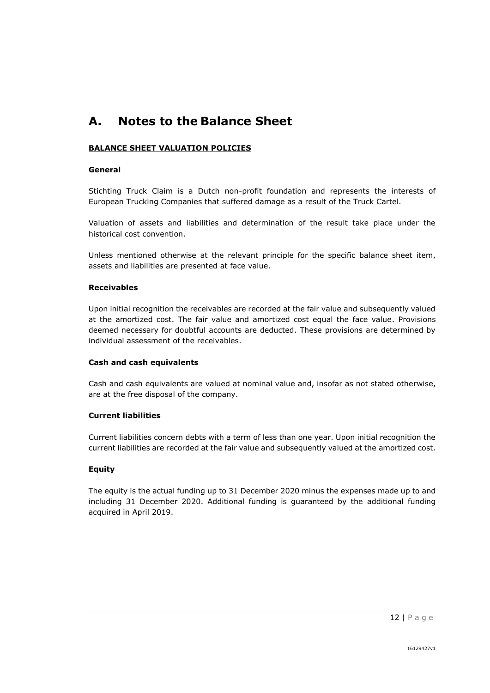# **A. Notes to the Balance Sheet**

#### **BALANCE SHEET VALUATION POLICIES**

#### **General**

Stichting Truck Claim is a Dutch non-profit foundation and represents the interests of European Trucking Companies that suffered damage as a result of the Truck Cartel.

Valuation of assets and liabilities and determination of the result take place under the historical cost convention.

Unless mentioned otherwise at the relevant principle for the specific balance sheet item, assets and liabilities are presented at face value.

#### **Receivables**

Upon initial recognition the receivables are recorded at the fair value and subsequently valued at the amortized cost. The fair value and amortized cost equal the face value. Provisions deemed necessary for doubtful accounts are deducted. These provisions are determined by individual assessment of the receivables.

#### **Cash and cash equivalents**

Cash and cash equivalents are valued at nominal value and, insofar as not stated otherwise, are at the free disposal of the company.

#### **Current liabilities**

Current liabilities concern debts with a term of less than one year. Upon initial recognition the current liabilities are recorded at the fair value and subsequently valued at the amortized cost.

#### **Equity**

The equity is the actual funding up to 31 December 2020 minus the expenses made up to and including 31 December 2020. Additional funding is guaranteed by the additional funding acquired in April 2019.